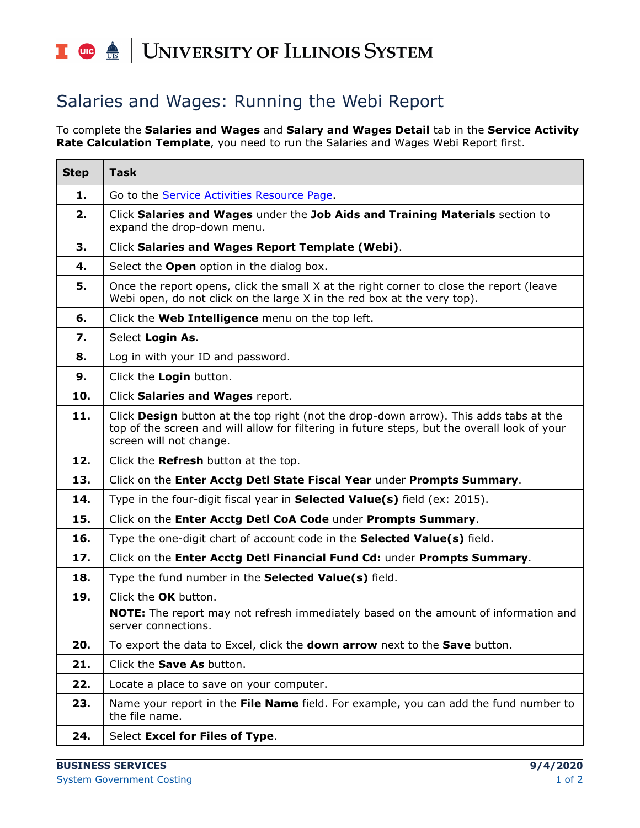## I **the detection of South SCITLE SETTEM**

## Salaries and Wages: Running the Webi Report

To complete the **Salaries and Wages** and **Salary and Wages Detail** tab in the **Service Activity Rate Calculation Template**, you need to run the Salaries and Wages Webi Report first.

| <b>Step</b> | <b>Task</b>                                                                                                                                                                                                      |
|-------------|------------------------------------------------------------------------------------------------------------------------------------------------------------------------------------------------------------------|
| 1.          | Go to the <b>Service Activities Resource Page</b> .                                                                                                                                                              |
| 2.          | Click Salaries and Wages under the Job Aids and Training Materials section to<br>expand the drop-down menu.                                                                                                      |
| 3.          | Click Salaries and Wages Report Template (Webi).                                                                                                                                                                 |
| 4.          | Select the Open option in the dialog box.                                                                                                                                                                        |
| 5.          | Once the report opens, click the small X at the right corner to close the report (leave<br>Webi open, do not click on the large X in the red box at the very top).                                               |
| 6.          | Click the Web Intelligence menu on the top left.                                                                                                                                                                 |
| 7.          | Select Login As.                                                                                                                                                                                                 |
| 8.          | Log in with your ID and password.                                                                                                                                                                                |
| 9.          | Click the Login button.                                                                                                                                                                                          |
| 10.         | Click Salaries and Wages report.                                                                                                                                                                                 |
| 11.         | Click Design button at the top right (not the drop-down arrow). This adds tabs at the<br>top of the screen and will allow for filtering in future steps, but the overall look of your<br>screen will not change. |
| 12.         | Click the Refresh button at the top.                                                                                                                                                                             |
| 13.         | Click on the Enter Acctg Detl State Fiscal Year under Prompts Summary.                                                                                                                                           |
| 14.         | Type in the four-digit fiscal year in Selected Value(s) field (ex: 2015).                                                                                                                                        |
| 15.         | Click on the Enter Acctg Detl CoA Code under Prompts Summary.                                                                                                                                                    |
| 16.         | Type the one-digit chart of account code in the <b>Selected Value(s)</b> field.                                                                                                                                  |
| 17.         | Click on the Enter Acctg Detl Financial Fund Cd: under Prompts Summary.                                                                                                                                          |
| 18.         | Type the fund number in the Selected Value(s) field.                                                                                                                                                             |
| 19.         | Click the OK button.<br><b>NOTE:</b> The report may not refresh immediately based on the amount of information and<br>server connections.                                                                        |
| 20.         | To export the data to Excel, click the <b>down arrow</b> next to the <b>Save</b> button.                                                                                                                         |
| 21.         | Click the Save As button.                                                                                                                                                                                        |
| 22.         | Locate a place to save on your computer.                                                                                                                                                                         |
| 23.         | Name your report in the File Name field. For example, you can add the fund number to<br>the file name.                                                                                                           |
| 24.         | Select Excel for Files of Type.                                                                                                                                                                                  |